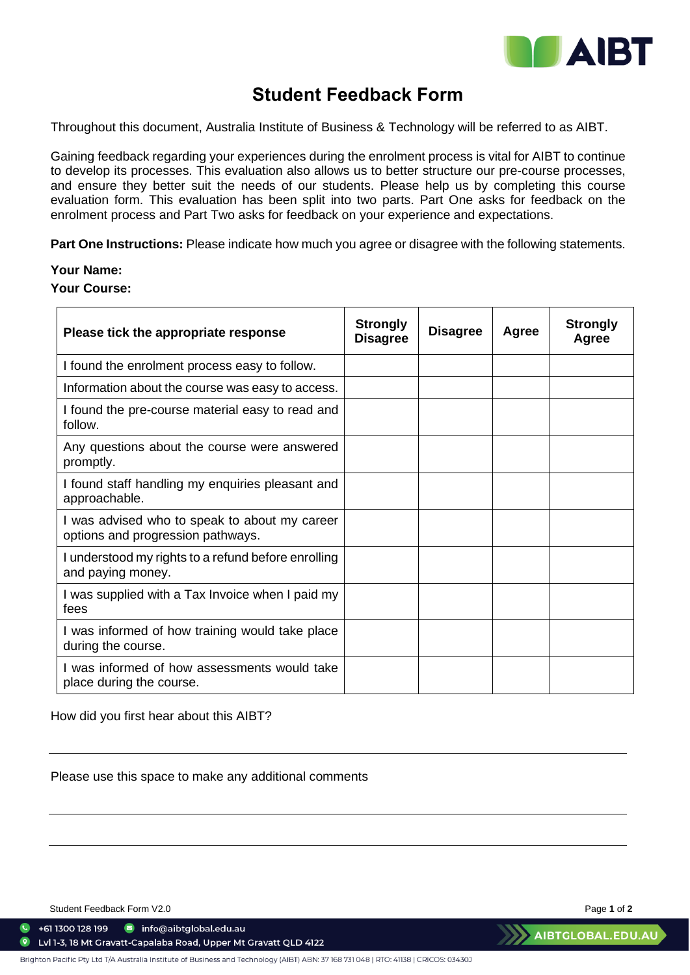

## **Student Feedback Form**

Throughout this document, Australia Institute of Business & Technology will be referred to as AIBT.

Gaining feedback regarding your experiences during the enrolment process is vital for AIBT to continue to develop its processes. This evaluation also allows us to better structure our pre-course processes, and ensure they better suit the needs of our students. Please help us by completing this course evaluation form. This evaluation has been split into two parts. Part One asks for feedback on the enrolment process and Part Two asks for feedback on your experience and expectations.

**Part One Instructions:** Please indicate how much you agree or disagree with the following statements.

## **Your Name:**

**Your Course:**

| Please tick the appropriate response                                               | <b>Strongly</b><br><b>Disagree</b> | <b>Disagree</b> | Agree | <b>Strongly</b><br>Agree |
|------------------------------------------------------------------------------------|------------------------------------|-----------------|-------|--------------------------|
| I found the enrolment process easy to follow.                                      |                                    |                 |       |                          |
| Information about the course was easy to access.                                   |                                    |                 |       |                          |
| I found the pre-course material easy to read and<br>follow.                        |                                    |                 |       |                          |
| Any questions about the course were answered<br>promptly.                          |                                    |                 |       |                          |
| I found staff handling my enquiries pleasant and<br>approachable.                  |                                    |                 |       |                          |
| I was advised who to speak to about my career<br>options and progression pathways. |                                    |                 |       |                          |
| I understood my rights to a refund before enrolling<br>and paying money.           |                                    |                 |       |                          |
| I was supplied with a Tax Invoice when I paid my<br>fees                           |                                    |                 |       |                          |
| I was informed of how training would take place<br>during the course.              |                                    |                 |       |                          |
| I was informed of how assessments would take<br>place during the course.           |                                    |                 |       |                          |

How did you first hear about this AIBT?

Please use this space to make any additional comments

Student Feedback Form V2.0 **Page 1** of 2

 $\bullet$  +61 1300 128 199 nfo@aibtglobal.edu.au

 $\bullet$ Lvl 1-3, 18 Mt Gravatt-Capalaba Road, Upper Mt Gravatt QLD 4122

Brighton Pacific Pty Ltd T/A Australia Institute of Business and Technology (AIBT) ABN: 37 168 731 048 | RTO: 41138 | CRICOS: 03430J